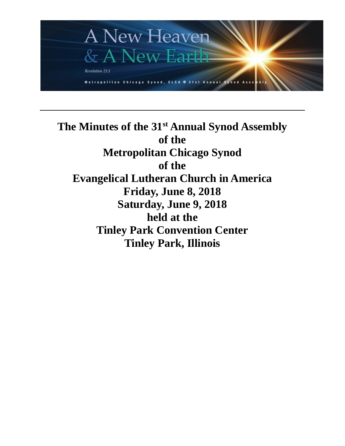

**The Minutes of the 31st Annual Synod Assembly of the Metropolitan Chicago Synod of the Evangelical Lutheran Church in America Friday, June 8, 2018 Saturday, June 9, 2018 held at the Tinley Park Convention Center Tinley Park, Illinois**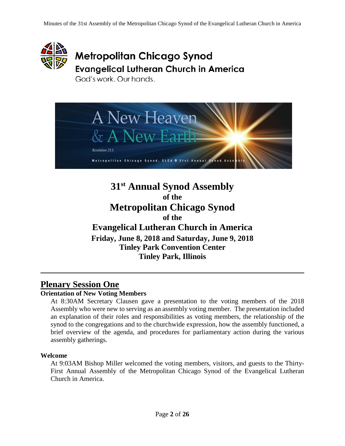

# **Metropolitan Chicago Synod Evangelical Lutheran Church in America**

God's work, Our hands.



**31st Annual Synod Assembly of the Metropolitan Chicago Synod of the Evangelical Lutheran Church in America Friday, June 8, 2018 and Saturday, June 9, 2018 Tinley Park Convention Center Tinley Park, Illinois**

\_\_\_\_\_\_\_\_\_\_\_\_\_\_\_\_\_\_\_\_\_\_\_\_\_\_\_\_\_\_\_\_\_\_\_\_\_\_\_\_\_\_\_\_\_\_\_\_\_\_\_\_\_\_\_\_\_\_\_\_\_\_\_\_\_\_\_\_\_\_\_\_\_\_\_\_\_\_

# **Plenary Session One**

#### **Orientation of New Voting Members**

At 8:30AM Secretary Clausen gave a presentation to the voting members of the 2018 Assembly who were new to serving as an assembly voting member. The presentation included an explanation of their roles and responsibilities as voting members, the relationship of the synod to the congregations and to the churchwide expression, how the assembly functioned, a brief overview of the agenda, and procedures for parliamentary action during the various assembly gatherings.

#### **Welcome**

At 9:03AM Bishop Miller welcomed the voting members, visitors, and guests to the Thirty-First Annual Assembly of the Metropolitan Chicago Synod of the Evangelical Lutheran Church in America.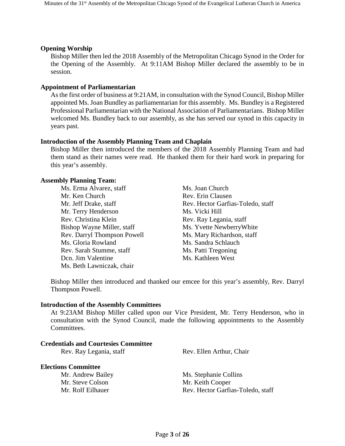#### **Opening Worship**

Bishop Miller then led the 2018 Assembly of the Metropolitan Chicago Synod in the Order for the Opening of the Assembly. At 9:11AM Bishop Miller declared the assembly to be in session.

#### **Appointment of Parliamentarian**

As the first order of business at 9:21AM, in consultation with the Synod Council, Bishop Miller appointed Ms. Joan Bundley as parliamentarian for this assembly. Ms. Bundley is a Registered Professional Parliamentarian with the National Association of Parliamentarians. Bishop Miller welcomed Ms. Bundley back to our assembly, as she has served our synod in this capacity in years past.

#### **Introduction of the Assembly Planning Team and Chaplain**

Bishop Miller then introduced the members of the 2018 Assembly Planning Team and had them stand as their names were read. He thanked them for their hard work in preparing for this year's assembly.

#### **Assembly Planning Team:**

Ms. Erma Alvarez, staff Ms. Joan Church Mr. Ken Church Rev. Erin Clausen Mr. Terry Henderson Ms. Vicki Hill Rev. Christina Klein Rev. Ray Legania, staff Bishop Wayne Miller, staff Ms. Yvette Newberry White Rev. Darryl Thompson Powell Ms. Mary Richardson, staff Ms. Gloria Rowland Ms. Sandra Schlauch Rev. Sarah Stumme, staff Ms. Patti Tregoning Dcn. Jim Valentine Ms. Kathleen West Ms. Beth Lawniczak, chair

Mr. Jeff Drake, staff **Rev. Hector Garfias-Toledo**, staff

Bishop Miller then introduced and thanked our emcee for this year's assembly, Rev. Darryl Thompson Powell.

#### **Introduction of the Assembly Committees**

At 9:23AM Bishop Miller called upon our Vice President, Mr. Terry Henderson, who in consultation with the Synod Council, made the following appointments to the Assembly Committees.

#### **Credentials and Courtesies Committee** Rev. Ray Legania, staff Rev. Ellen Arthur, Chair

#### **Elections Committee**

Mr. Steve Colson Mr. Keith Cooper

Mr. Andrew Bailey Ms. Stephanie Collins Mr. Rolf Eilhauer Rev. Hector Garfias-Toledo, staff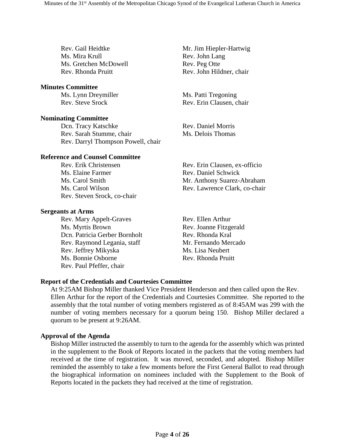Rev. Gail Heidtke Mr. Jim Hiepler-Hartwig Ms. Mira Krull Rev. John Lang Ms. Gretchen McDowell Rev. Peg Otte Rev. Rhonda Pruitt Rev. John Hildner, chair

#### **Minutes Committee**

Ms. Lynn Dreymiller Ms. Patti Tregoning

#### **Nominating Committee**

Dcn. Tracy Katschke Rev. Daniel Morris Rev. Sarah Stumme, chair Ms. Delois Thomas Rev. Darryl Thompson Powell, chair

#### **Reference and Counsel Committee**

Ms. Elaine Farmer Rev. Daniel Schwick Rev. Steven Srock, co-chair

#### **Sergeants at Arms**

Rev. Mary Appelt-Graves Rev. Ellen Arthur Ms. Myrtis Brown Rev. Joanne Fitzgerald Dcn. Patricia Gerber Bornholt Rev. Rhonda Kral Rev. Raymond Legania, staff Mr. Fernando Mercado Rev. Jeffrey Mikyska Ms. Lisa Neubert Ms. Bonnie Osborne Rev. Rhonda Pruitt Rev. Paul Pfeffer, chair

Rev. Steve Srock Rev. Erin Clausen, chair

Rev. Erik Christensen Rev. Erin Clausen, ex-officio Ms. Carol Smith Mr. Anthony Suarez-Abraham Ms. Carol Wilson Rev. Lawrence Clark, co-chair

#### **Report of the Credentials and Courtesies Committee**

At 9:25AM Bishop Miller thanked Vice President Henderson and then called upon the Rev. Ellen Arthur for the report of the Credentials and Courtesies Committee. She reported to the assembly that the total number of voting members registered as of 8:45AM was 299 with the number of voting members necessary for a quorum being 150. Bishop Miller declared a quorum to be present at 9:26AM.

#### **Approval of the Agenda**

Bishop Miller instructed the assembly to turn to the agenda for the assembly which was printed in the supplement to the Book of Reports located in the packets that the voting members had received at the time of registration. It was moved, seconded, and adopted. Bishop Miller reminded the assembly to take a few moments before the First General Ballot to read through the biographical information on nominees included with the Supplement to the Book of Reports located in the packets they had received at the time of registration.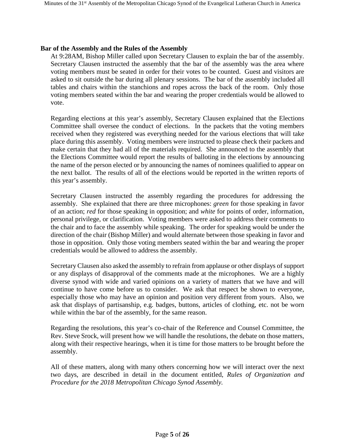#### **Bar of the Assembly and the Rules of the Assembly**

At 9:28AM, Bishop Miller called upon Secretary Clausen to explain the bar of the assembly. Secretary Clausen instructed the assembly that the bar of the assembly was the area where voting members must be seated in order for their votes to be counted. Guest and visitors are asked to sit outside the bar during all plenary sessions. The bar of the assembly included all tables and chairs within the stanchions and ropes across the back of the room. Only those voting members seated within the bar and wearing the proper credentials would be allowed to vote.

Regarding elections at this year's assembly, Secretary Clausen explained that the Elections Committee shall oversee the conduct of elections. In the packets that the voting members received when they registered was everything needed for the various elections that will take place during this assembly. Voting members were instructed to please check their packets and make certain that they had all of the materials required. She announced to the assembly that the Elections Committee would report the results of balloting in the elections by announcing the name of the person elected or by announcing the names of nominees qualified to appear on the next ballot. The results of all of the elections would be reported in the written reports of this year's assembly.

Secretary Clausen instructed the assembly regarding the procedures for addressing the assembly. She explained that there are three microphones: *green* for those speaking in favor of an action; *red* for those speaking in opposition; and *white* for points of order, information, personal privilege, or clarification. Voting members were asked to address their comments to the chair and to face the assembly while speaking. The order for speaking would be under the direction of the chair (Bishop Miller) and would alternate between those speaking in favor and those in opposition. Only those voting members seated within the bar and wearing the proper credentials would be allowed to address the assembly.

Secretary Clausen also asked the assembly to refrain from applause or other displays of support or any displays of disapproval of the comments made at the microphones. We are a highly diverse synod with wide and varied opinions on a variety of matters that we have and will continue to have come before us to consider. We ask that respect be shown to everyone, especially those who may have an opinion and position very different from yours. Also, we ask that displays of partisanship, e.g. badges, buttons, articles of clothing, etc. not be worn while within the bar of the assembly, for the same reason.

Regarding the resolutions, this year's co-chair of the Reference and Counsel Committee, the Rev. Steve Srock, will present how we will handle the resolutions, the debate on those matters, along with their respective hearings, when it is time for those matters to be brought before the assembly.

All of these matters, along with many others concerning how we will interact over the next two days, are described in detail in the document entitled, *Rules of Organization and Procedure for the 2018 Metropolitan Chicago Synod Assembly.*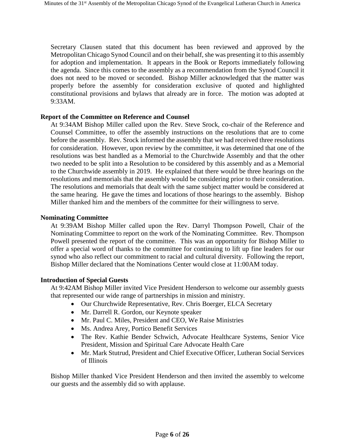Secretary Clausen stated that this document has been reviewed and approved by the Metropolitan Chicago Synod Council and on their behalf, she was presenting it to this assembly for adoption and implementation. It appears in the Book or Reports immediately following the agenda. Since this comes to the assembly as a recommendation from the Synod Council it does not need to be moved or seconded. Bishop Miller acknowledged that the matter was properly before the assembly for consideration exclusive of quoted and highlighted constitutional provisions and bylaws that already are in force. The motion was adopted at 9:33AM.

#### **Report of the Committee on Reference and Counsel**

At 9:34AM Bishop Miller called upon the Rev. Steve Srock, co-chair of the Reference and Counsel Committee, to offer the assembly instructions on the resolutions that are to come before the assembly. Rev. Srock informed the assembly that we had received three resolutions for consideration. However, upon review by the committee, it was determined that one of the resolutions was best handled as a Memorial to the Churchwide Assembly and that the other two needed to be split into a Resolution to be considered by this assembly and as a Memorial to the Churchwide assembly in 2019. He explained that there would be three hearings on the resolutions and memorials that the assembly would be considering prior to their consideration. The resolutions and memorials that dealt with the same subject matter would be considered at the same hearing. He gave the times and locations of those hearings to the assembly. Bishop Miller thanked him and the members of the committee for their willingness to serve.

#### **Nominating Committee**

At 9:39AM Bishop Miller called upon the Rev. Darryl Thompson Powell, Chair of the Nominating Committee to report on the work of the Nominating Committee. Rev. Thompson Powell presented the report of the committee. This was an opportunity for Bishop Miller to offer a special word of thanks to the committee for continuing to lift up fine leaders for our synod who also reflect our commitment to racial and cultural diversity. Following the report, Bishop Miller declared that the Nominations Center would close at 11:00AM today.

#### **Introduction of Special Guests**

At 9:42AM Bishop Miller invited Vice President Henderson to welcome our assembly guests that represented our wide range of partnerships in mission and ministry.

- Our Churchwide Representative, Rev. Chris Boerger, ELCA Secretary
- Mr. Darrell R. Gordon, our Keynote speaker
- Mr. Paul C. Miles, President and CEO, We Raise Ministries
- Ms. Andrea Arey, Portico Benefit Services
- The Rev. Kathie Bender Schwich, Advocate Healthcare Systems, Senior Vice President, Mission and Spiritual Care Advocate Health Care
- Mr. Mark Stutrud, President and Chief Executive Officer, Lutheran Social Services of Illinois

Bishop Miller thanked Vice President Henderson and then invited the assembly to welcome our guests and the assembly did so with applause.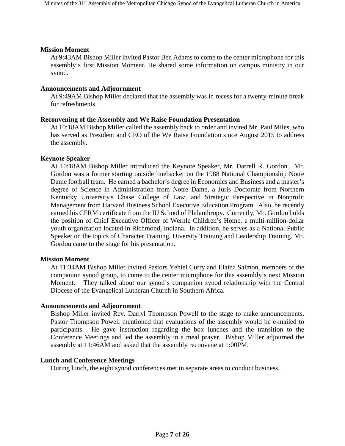#### **Mission Moment**

At 9:43AM Bishop Miller invited Pastor Ben Adams to come to the center microphone for this assembly's first Mission Moment. He shared some information on campus ministry in our synod.

#### **Announcements and Adjournment**

At 9:49AM Bishop Miller declared that the assembly was in recess for a twenty-minute break for refreshments.

#### **Reconvening of the Assembly and We Raise Foundation Presentation**

At 10:18AM Bishop Miller called the assembly back to order and invited Mr. Paul Miles, who has served as President and CEO of the We Raise Foundation since August 2015 to address the assembly.

#### **Keynote Speaker**

At 10:18AM Bishop Miller introduced the Keynote Speaker, Mr. Darrell R. Gordon. Mr. Gordon was a former starting outside linebacker on the 1988 National Championship Notre Dame football team. He earned a bachelor's degree in Economics and Business and a master's degree of Science in Administration from Notre Dame, a Juris Doctorate from Northern Kentucky University's Chase College of Law, and Strategic Perspective in Nonprofit Management from Harvard Business School Executive Education Program. Also, he recently earned his CFRM certificate from the IU School of Philanthropy. Currently, Mr. Gordon holds the position of Chief Executive Officer of Wernle Children's Home, a multi-million-dollar youth organization located in Richmond, Indiana. In addition, he serves as a National Public Speaker on the topics of Character Training, Diversity Training and Leadership Training. Mr. Gordon came to the stage for his presentation.

#### **Mission Moment**

At 11:34AM Bishop Miller invited Pastors Yehiel Curry and Elaina Salmon, members of the companion synod group, to come to the center microphone for this assembly's next Mission Moment. They talked about our synod's companion synod relationship with the Central Diocese of the Evangelical Lutheran Church in Southern Africa.

#### **Announcements and Adjournment**

Bishop Miller invited Rev. Darryl Thompson Powell to the stage to make announcements. Pastor Thompson Powell mentioned that evaluations of the assembly would be e-mailed to participants. He gave instruction regarding the box lunches and the transition to the Conference Meetings and led the assembly in a meal prayer. Bishop Miller adjourned the assembly at 11:46AM and asked that the assembly reconvene at 1:00PM.

#### **Lunch and Conference Meetings**

During lunch, the eight synod conferences met in separate areas to conduct business.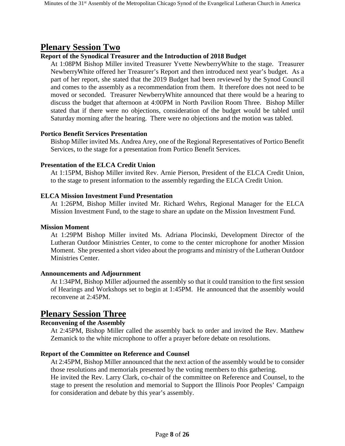# **Plenary Session Two**

### **Report of the Synodical Treasurer and the Introduction of 2018 Budget**

At 1:08PM Bishop Miller invited Treasurer Yvette NewberryWhite to the stage. Treasurer NewberryWhite offered her Treasurer's Report and then introduced next year's budget. As a part of her report, she stated that the 2019 Budget had been reviewed by the Synod Council and comes to the assembly as a recommendation from them. It therefore does not need to be moved or seconded. Treasurer NewberryWhite announced that there would be a hearing to discuss the budget that afternoon at 4:00PM in North Pavilion Room Three. Bishop Miller stated that if there were no objections, consideration of the budget would be tabled until Saturday morning after the hearing. There were no objections and the motion was tabled.

#### **Portico Benefit Services Presentation**

Bishop Miller invited Ms. Andrea Arey, one of the Regional Representatives of Portico Benefit Services, to the stage for a presentation from Portico Benefit Services.

#### **Presentation of the ELCA Credit Union**

At 1:15PM, Bishop Miller invited Rev. Arnie Pierson, President of the ELCA Credit Union, to the stage to present information to the assembly regarding the ELCA Credit Union.

### **ELCA Mission Investment Fund Presentation**

At 1:26PM, Bishop Miller invited Mr. Richard Wehrs, Regional Manager for the ELCA Mission Investment Fund, to the stage to share an update on the Mission Investment Fund.

#### **Mission Moment**

At 1:29PM Bishop Miller invited Ms. Adriana Plocinski, Development Director of the Lutheran Outdoor Ministries Center, to come to the center microphone for another Mission Moment. She presented a short video about the programs and ministry of the Lutheran Outdoor Ministries Center.

#### **Announcements and Adjournment**

At 1:34PM, Bishop Miller adjourned the assembly so that it could transition to the first session of Hearings and Workshops set to begin at 1:45PM. He announced that the assembly would reconvene at 2:45PM.

# **Plenary Session Three**

### **Reconvening of the Assembly**

At 2:45PM, Bishop Miller called the assembly back to order and invited the Rev. Matthew Zemanick to the white microphone to offer a prayer before debate on resolutions.

### **Report of the Committee on Reference and Counsel**

At 2:45PM, Bishop Miller announced that the next action of the assembly would be to consider those resolutions and memorials presented by the voting members to this gathering.

He invited the Rev. Larry Clark, co-chair of the committee on Reference and Counsel, to the stage to present the resolution and memorial to Support the Illinois Poor Peoples' Campaign for consideration and debate by this year's assembly.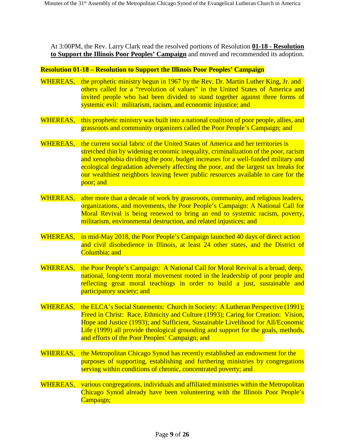At 3:00PM, the Rev. Larry Clark read the resolved portions of Resolution **01-18 - Resolution to Support the Illinois Poor Peoples' Campaign** and moved and recommended its adoption.

#### **Resolution 01-18 – Resolution to Support the Illinois Poor Peoples' Campaign**

- WHEREAS, the prophetic ministry begun in 1967 by the Rev. Dr. Martin Luther King, Jr. and others called for a "revolution of values" in the United States of America and invited people who had been divided to stand together against three forms of systemic evil: militarism, racism, and economic injustice; and
- WHEREAS, this prophetic ministry was built into a national coalition of poor people, allies, and grassroots and community organizers called the Poor People's Campaign; and
- WHEREAS, the current social fabric of the United States of America and her territories is stretched thin by widening economic inequality, criminalization of the poor, racism and xenophobia dividing the poor, budget increases for a well-funded military and ecological degradation adversely affecting the poor, and the largest tax breaks for our wealthiest neighbors leaving fewer public resources available to care for the poor; and
- WHEREAS, after more than a decade of work by grassroots, community, and religious leaders, organizations, and movements, the Poor People's Campaign: A National Call for Moral Revival is being renewed to bring an end to systemic racism, poverty, militarism, environmental destruction, and related injustices; and
- WHEREAS, in mid-May 2018, the Poor People's Campaign launched 40 days of direct action and civil disobedience in Illinois, at least 24 other states, and the District of Columbia; and
- WHEREAS, the Poor People's Campaign: A National Call for Moral Revival is a broad, deep, national, long-term moral movement rooted in the leadership of poor people and reflecting great moral teachings in order to build a just, sustainable and participatory society; and
- WHEREAS, the ELCA's Social Statements: Church in Society: A Lutheran Perspective (1991); Freed in Christ: Race, Ethnicity and Culture (1993); Caring for Creation: Vision, Hope and Justice (1993); and Sufficient, Sustainable Livelihood for All/Economic Life (1999) all provide theological grounding and support for the goals, methods, and efforts of the Poor Peoples' Campaign; and
- WHEREAS, the Metropolitan Chicago Synod has recently established an endowment for the purposes of supporting, establishing and furthering ministries by congregations serving within conditions of chronic, concentrated poverty; and
- WHEREAS, various congregations, individuals and affiliated ministries within the Metropolitan Chicago Synod already have been volunteering with the Illinois Poor People's Campaign;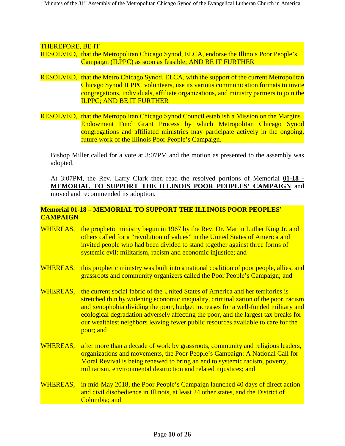#### THEREFORE, BE IT

- RESOLVED, that the Metropolitan Chicago Synod, ELCA, endorse the Illinois Poor People's Campaign (ILPPC) as soon as feasible; AND BE IT FURTHER
- RESOLVED, that the Metro Chicago Synod, ELCA, with the support of the current Metropolitan Chicago Synod ILPPC volunteers, use its various communication formats to invite congregations, individuals, affiliate organizations, and ministry partners to join the ILPPC; AND BE IT FURTHER
- RESOLVED, that the Metropolitan Chicago Synod Council establish a Mission on the Margins Endowment Fund Grant Process by which Metropolitan Chicago Synod congregations and affiliated ministries may participate actively in the ongoing, future work of the Illinois Poor People's Campaign.

Bishop Miller called for a vote at 3:07PM and the motion as presented to the assembly was adopted.

At 3:07PM, the Rev. Larry Clark then read the resolved portions of Memorial **01-18 - MEMORIAL TO SUPPORT THE ILLINOIS POOR PEOPLES' CAMPAIGN** and moved and recommended its adoption.

#### **Memorial 01-18 – MEMORIAL TO SUPPORT THE ILLINOIS POOR PEOPLES' CAMPAIGN**

- WHEREAS, the prophetic ministry begun in 1967 by the Rev. Dr. Martin Luther King Jr. and others called for a "revolution of values" in the United States of America and invited people who had been divided to stand together against three forms of systemic evil: militarism, racism and economic injustice; and
- WHEREAS, this prophetic ministry was built into a national coalition of poor people, allies, and grassroots and community organizers called the Poor People's Campaign; and
- WHEREAS, the current social fabric of the United States of America and her territories is stretched thin by widening economic inequality, criminalization of the poor, racism and xenophobia dividing the poor, budget increases for a well-funded military and ecological degradation adversely affecting the poor, and the largest tax breaks for our wealthiest neighbors leaving fewer public resources available to care for the poor; and
- WHEREAS, after more than a decade of work by grassroots, community and religious leaders, organizations and movements, the Poor People's Campaign: A National Call for Moral Revival is being renewed to bring an end to systemic racism, poverty, militarism, environmental destruction and related injustices; and
- WHEREAS, in mid-May 2018, the Poor People's Campaign launched 40 days of direct action and civil disobedience in Illinois, at least 24 other states, and the District of Columbia; and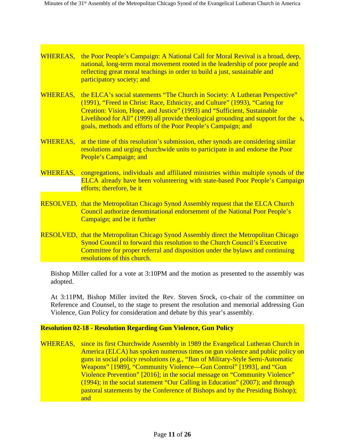- WHEREAS, the Poor People's Campaign: A National Call for Moral Revival is a broad, deep, national, long-term moral movement rooted in the leadership of poor people and reflecting great moral teachings in order to build a just, sustainable and participatory society; and
- WHEREAS, the ELCA's social statements "The Church in Society: A Lutheran Perspective" (1991), "Freed in Christ: Race, Ethnicity, and Culture" (1993), "Caring for Creation: Vision, Hope, and Justice" (1993) and "Sufficient, Sustainable Livelihood for All" (1999) all provide theological grounding and support for the s, goals, methods and efforts of the Poor People's Campaign; and
- WHEREAS, at the time of this resolution's submission, other synods are considering similar resolutions and urging churchwide units to participate in and endorse the Poor People's Campaign; and
- WHEREAS, congregations, individuals and affiliated ministries within multiple synods of the ELCA already have been volunteering with state-based Poor People's Campaign efforts; therefore, be it
- RESOLVED, that the Metropolitan Chicago Synod Assembly request that the ELCA Church Council authorize denominational endorsement of the National Poor People's Campaign; and be it further
- RESOLVED, that the Metropolitan Chicago Synod Assembly direct the Metropolitan Chicago Synod Council to forward this resolution to the Church Council's Executive Committee for proper referral and disposition under the bylaws and continuing resolutions of this church.

Bishop Miller called for a vote at 3:10PM and the motion as presented to the assembly was adopted.

At 3:11PM, Bishop Miller invited the Rev. Steven Srock, co-chair of the committee on Reference and Counsel, to the stage to present the resolution and memorial addressing Gun Violence, Gun Policy for consideration and debate by this year's assembly.

#### **Resolution 02-18 - Resolution Regarding Gun Violence, Gun Policy**

WHEREAS, since its first Churchwide Assembly in 1989 the Evangelical Lutheran Church in America (ELCA) has spoken numerous times on gun violence and public policy on guns in social policy resolutions (e.g., "Ban of Military-Style Semi-Automatic Weapons" [1989], "Community Violence—Gun Control" [1993], and "Gun Violence Prevention" [2016]; in the social message on "Community Violence" (1994); in the social statement "Our Calling in Education" (2007); and through pastoral statements by the Conference of Bishops and by the Presiding Bishop); and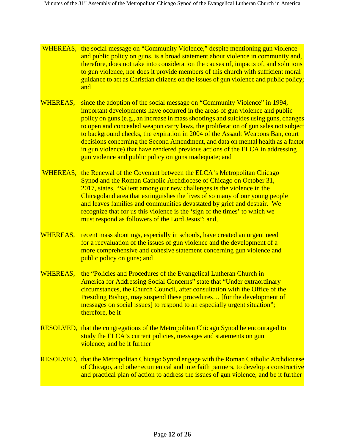- WHEREAS, the social message on "Community Violence," despite mentioning gun violence and public policy on guns, is a broad statement about violence in community and, therefore, does not take into consideration the causes of, impacts of, and solutions to gun violence, nor does it provide members of this church with sufficient moral guidance to act as Christian citizens on the issues of gun violence and public policy; and
- WHEREAS, since the adoption of the social message on "Community Violence" in 1994, important developments have occurred in the areas of gun violence and public policy on guns (e.g., an increase in mass shootings and suicides using guns, changes to open and concealed weapon carry laws, the proliferation of gun sales not subject to background checks, the expiration in 2004 of the Assault Weapons Ban, court decisions concerning the Second Amendment, and data on mental health as a factor in gun violence) that have rendered previous actions of the ELCA in addressing gun violence and public policy on guns inadequate; and
- WHEREAS, the Renewal of the Covenant between the ELCA's Metropolitan Chicago Synod and the Roman Catholic Archdiocese of Chicago on October 31, 2017, states, "Salient among our new challenges is the violence in the Chicagoland area that extinguishes the lives of so many of our young people and leaves families and communities devastated by grief and despair. We recognize that for us this violence is the 'sign of the times' to which we must respond as followers of the Lord Jesus"; and,
- WHEREAS, recent mass shootings, especially in schools, have created an urgent need for a reevaluation of the issues of gun violence and the development of a more comprehensive and cohesive statement concerning gun violence and public policy on guns; and
- WHEREAS, the "Policies and Procedures of the Evangelical Lutheran Church in America for Addressing Social Concerns" state that "Under extraordinary circumstances, the Church Council, after consultation with the Office of the Presiding Bishop, may suspend these procedures… [for the development of messages on social issues] to respond to an especially urgent situation"; therefore, be it
- RESOLVED, that the congregations of the Metropolitan Chicago Synod be encouraged to study the ELCA's current policies, messages and statements on gun violence; and be it further
- RESOLVED, that the Metropolitan Chicago Synod engage with the Roman Catholic Archdiocese of Chicago, and other ecumenical and interfaith partners, to develop a constructive and practical plan of action to address the issues of gun violence; and be it further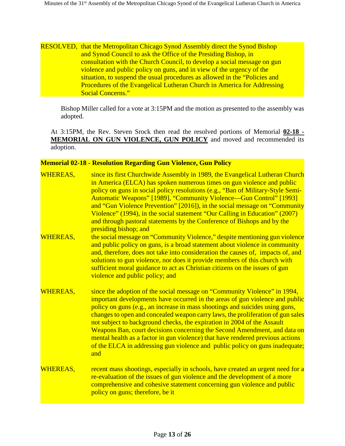#### RESOLVED, that the Metropolitan Chicago Synod Assembly direct the Synod Bishop and Synod Council to ask the Office of the Presiding Bishop, in consultation with the Church Council, to develop a social message on gun violence and public policy on guns, and in view of the urgency of the situation, to suspend the usual procedures as allowed in the "Policies and Procedures of the Evangelical Lutheran Church in America for Addressing Social Concerns."

Bishop Miller called for a vote at 3:15PM and the motion as presented to the assembly was adopted.

At 3:15PM, the Rev. Steven Srock then read the resolved portions of Memorial **02-18 - MEMORIAL ON GUN VIOLENCE, GUN POLICY** and moved and recommended its adoption.

#### **Memorial 02-18 - Resolution Regarding Gun Violence, Gun Policy**

- WHEREAS, since its first Churchwide Assembly in 1989, the Evangelical Lutheran Church in America (ELCA) has spoken numerous times on gun violence and public policy on guns in social policy resolutions (e.g., "Ban of Military-Style Semi-Automatic Weapons" [1989], "Community Violence—Gun Control" [1993] and "Gun Violence Prevention" [2016]), in the social message on "Community Violence" (1994), in the social statement "Our Calling in Education" (2007) and through pastoral statements by the Conference of Bishops and by the presiding bishop; and
- WHEREAS, the social message on "Community Violence," despite mentioning gun violence and public policy on guns, is a broad statement about violence in community and, therefore, does not take into consideration the causes of, impacts of, and solutions to gun violence, nor does it provide members of this church with sufficient moral guidance to act as Christian citizens on the issues of gun violence and public policy; and
- WHEREAS, since the adoption of the social message on "Community Violence" in 1994, important developments have occurred in the areas of gun violence and public policy on guns (e.g., an increase in mass shootings and suicides using guns, changes to open and concealed weapon carry laws, the proliferation of gun sales not subject to background checks, the expiration in 2004 of the Assault Weapons Ban, court decisions concerning the Second Amendment, and data on mental health as a factor in gun violence) that have rendered previous actions of the ELCA in addressing gun violence and public policy on guns inadequate; and
- WHEREAS, recent mass shootings, especially in schools, have created an urgent need for a re-evaluation of the issues of gun violence and the development of a more comprehensive and cohesive statement concerning gun violence and public policy on guns; therefore, be it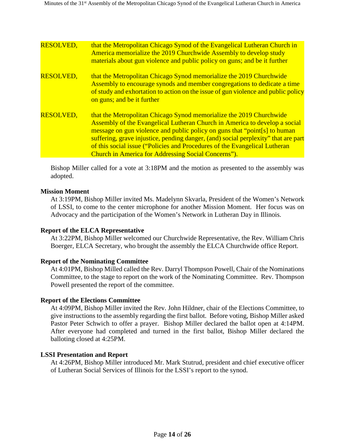| <b>RESOLVED,</b> | that the Metropolitan Chicago Synod of the Evangelical Lutheran Church in<br>America memorialize the 2019 Churchwide Assembly to develop study<br>materials about gun violence and public policy on guns; and be it further                                                                                                                                                                                                                                      |
|------------------|------------------------------------------------------------------------------------------------------------------------------------------------------------------------------------------------------------------------------------------------------------------------------------------------------------------------------------------------------------------------------------------------------------------------------------------------------------------|
| <b>RESOLVED,</b> | that the Metropolitan Chicago Synod memorialize the 2019 Churchwide<br>Assembly to encourage synods and member congregations to dedicate a time<br>of study and exhortation to action on the issue of gun violence and public policy<br>on guns; and be it further                                                                                                                                                                                               |
| <b>RESOLVED,</b> | that the Metropolitan Chicago Synod memorialize the 2019 Churchwide<br>Assembly of the Evangelical Lutheran Church in America to develop a social<br>message on gun violence and public policy on guns that "point[s] to human<br>suffering, grave injustice, pending danger, (and) social perplexity" that are part<br>of this social issue ("Policies and Procedures of the Evangelical Lutheran<br><b>Church in America for Addressing Social Concerns").</b> |

Bishop Miller called for a vote at 3:18PM and the motion as presented to the assembly was adopted.

#### **Mission Moment**

At 3:19PM, Bishop Miller invited Ms. Madelynn Skvarla, President of the Women's Network of LSSI, to come to the center microphone for another Mission Moment. Her focus was on Advocacy and the participation of the Women's Network in Lutheran Day in Illinois.

#### **Report of the ELCA Representative**

At 3:22PM, Bishop Miller welcomed our Churchwide Representative, the Rev. William Chris Boerger, ELCA Secretary, who brought the assembly the ELCA Churchwide office Report.

#### **Report of the Nominating Committee**

At 4:01PM, Bishop Milled called the Rev. Darryl Thompson Powell, Chair of the Nominations Committee, to the stage to report on the work of the Nominating Committee. Rev. Thompson Powell presented the report of the committee.

#### **Report of the Elections Committee**

At 4:09PM, Bishop Miller invited the Rev. John Hildner, chair of the Elections Committee, to give instructions to the assembly regarding the first ballot. Before voting, Bishop Miller asked Pastor Peter Schwich to offer a prayer. Bishop Miller declared the ballot open at 4:14PM. After everyone had completed and turned in the first ballot, Bishop Miller declared the balloting closed at 4:25PM.

#### **LSSI Presentation and Report**

At 4:26PM, Bishop Miller introduced Mr. Mark Stutrud, president and chief executive officer of Lutheran Social Services of Illinois for the LSSI's report to the synod.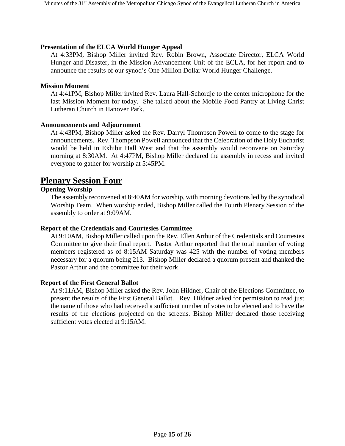#### **Presentation of the ELCA World Hunger Appeal**

At 4:33PM, Bishop Miller invited Rev. Robin Brown, Associate Director, ELCA World Hunger and Disaster, in the Mission Advancement Unit of the ECLA, for her report and to announce the results of our synod's One Million Dollar World Hunger Challenge.

#### **Mission Moment**

At 4:41PM, Bishop Miller invited Rev. Laura Hall-Schordje to the center microphone for the last Mission Moment for today. She talked about the Mobile Food Pantry at Living Christ Lutheran Church in Hanover Park.

#### **Announcements and Adjournment**

At 4:43PM, Bishop Miller asked the Rev. Darryl Thompson Powell to come to the stage for announcements. Rev. Thompson Powell announced that the Celebration of the Holy Eucharist would be held in Exhibit Hall West and that the assembly would reconvene on Saturday morning at 8:30AM. At 4:47PM, Bishop Miller declared the assembly in recess and invited everyone to gather for worship at 5:45PM.

## **Plenary Session Four**

### **Opening Worship**

The assembly reconvened at 8:40AM for worship, with morning devotions led by the synodical Worship Team. When worship ended, Bishop Miller called the Fourth Plenary Session of the assembly to order at 9:09AM.

#### **Report of the Credentials and Courtesies Committee**

At 9:10AM, Bishop Miller called upon the Rev. Ellen Arthur of the Credentials and Courtesies Committee to give their final report. Pastor Arthur reported that the total number of voting members registered as of 8:15AM Saturday was 425 with the number of voting members necessary for a quorum being 213. Bishop Miller declared a quorum present and thanked the Pastor Arthur and the committee for their work.

#### **Report of the First General Ballot**

At 9:11AM, Bishop Miller asked the Rev. John Hildner, Chair of the Elections Committee, to present the results of the First General Ballot. Rev. Hildner asked for permission to read just the name of those who had received a sufficient number of votes to be elected and to have the results of the elections projected on the screens. Bishop Miller declared those receiving sufficient votes elected at 9:15AM.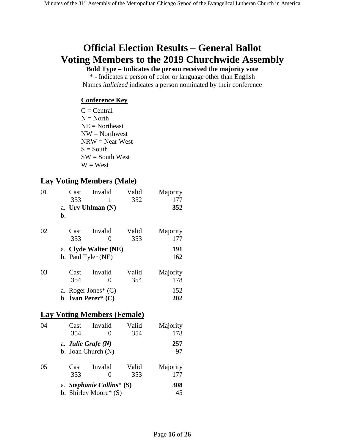# **Official Election Results – General Ballot Voting Members to the 2019 Churchwide Assembly**

**Bold Type – Indicates the person received the majority vote**

\* - Indicates a person of color or language other than English Names *italicized* indicates a person nominated by their conference

#### **Conference Key**

 $C = Central$  $N = North$  $NE = \text{Northeast}$  $NW = Northwest$  $NRW = Near West$  $S =$  South  $SW = South West$  $W = West$ 

### **Lay Voting Members (Male)**

| 01 | Cast | Invalid                            | Valid | Majority |
|----|------|------------------------------------|-------|----------|
|    | 353  | 1                                  | 352   | 177      |
|    |      | a. Urv Uhlman (N)                  |       | 352      |
|    | b.   |                                    |       |          |
| 02 | Cast | Invalid                            | Valid | Majority |
|    | 353  | 0                                  | 353   | 177      |
|    |      | a. Clyde Walter (NE)               |       | 191      |
|    |      | b. Paul Tyler (NE)                 |       | 162      |
| 03 | Cast | Invalid                            | Valid | Majority |
|    | 354  | 0                                  | 354   | 178      |
|    |      | a. Roger Jones* (C)                |       | 152      |
|    |      | b. <b>Ivan Perez</b> * $(C)$       |       | 202      |
|    |      | <b>Lay Voting Members (Female)</b> |       |          |
| 04 | Cast | Invalid                            | Valid | Majority |
|    | 354  | 0                                  | 354   | 178      |

| $\mathbf{v}$ | \~นงเ<br>354         | 111 valit                                              | r anu<br>354 | <b>IVIUJULILY</b><br>178 |
|--------------|----------------------|--------------------------------------------------------|--------------|--------------------------|
|              | a. Julie Grafe $(N)$ | b. Joan Church $(N)$                                   |              | 257<br>97                |
| 05           | Cast<br>353          | Invalid                                                | Valid<br>353 | Majority<br>177          |
|              |                      | a. Stephanie Collins* $(S)$<br>b. Shirley Moore* $(S)$ |              | 308<br>45                |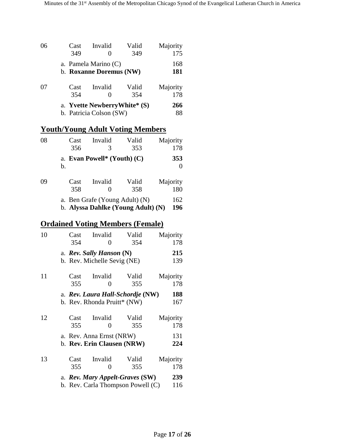| 06 | Cast | Invalid                       | Valid | Majority |
|----|------|-------------------------------|-------|----------|
|    | 349  | 0                             | 349   | 175      |
|    |      | a. Pamela Marino (C)          |       | 168      |
|    |      | b. Roxanne Doremus (NW)       |       | 181      |
| 07 | Cast | Invalid                       | Valid | Majority |
|    | 354  | 0                             | 354   | 178      |
|    |      | a. Yvette Newberry White* (S) |       | 266      |
|    |      | b. Patricia Colson (SW)       |       | 88       |

# **Youth/Young Adult Voting Members**

| 08 | Cast        | Invalid                            | Valid<br>353                       | Majority<br>178 |
|----|-------------|------------------------------------|------------------------------------|-----------------|
|    | 356<br>b.   | 3<br>a. Evan Powell* (Youth) $(C)$ |                                    | 353             |
| 09 | Cast<br>358 | Invalid<br>$\mathbf{\Omega}$       | Valid<br>358                       | Majority<br>180 |
|    |             | a. Ben Grafe (Young Adult) (N)     | b. Alyssa Dahlke (Young Adult) (N) | 162<br>196      |

# **Ordained Voting Members (Female)**

| 10 | Cast | Invalid                           | Valid | Majority |
|----|------|-----------------------------------|-------|----------|
|    | 354  | 0                                 | 354   | 178      |
|    |      | a. Rev. Sally Hanson (N)          |       | 215      |
|    |      | b. Rev. Michelle Sevig (NE)       |       | 139      |
| 11 | Cast | Invalid                           | Valid | Majority |
|    | 355  | 0                                 | 355   | 178      |
|    |      | a. Rev. Laura Hall-Schordje (NW)  |       | 188      |
|    |      | b. Rev. Rhonda Pruitt* (NW)       |       | 167      |
| 12 | Cast | Invalid                           | Valid | Majority |
|    | 355  | 0                                 | 355   | 178      |
|    |      | a. Rev. Anna Ernst (NRW)          |       | 131      |
|    |      | b. Rev. Erin Clausen (NRW)        |       | 224      |
| 13 | Cast | Invalid                           | Valid | Majority |
|    | 355  | 0                                 | 355   | 178      |
|    |      | a. Rev. Mary Appelt-Graves (SW)   |       | 239      |
|    |      | b. Rev. Carla Thompson Powell (C) |       | 116      |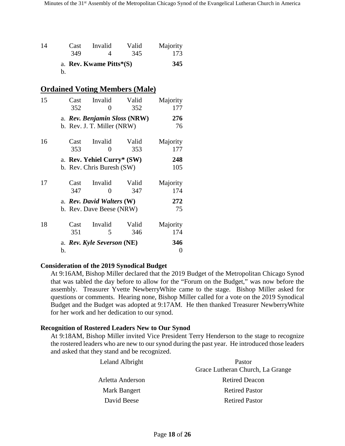| 14 | Cast | Invalid                    | Valid | Majority |
|----|------|----------------------------|-------|----------|
|    | 349  |                            | 345   | 173      |
|    |      | a. Rev. Kwame Pitts $*(S)$ |       | 345      |
|    | h.   |                            |       |          |

#### **Ordained Voting Members (Male)**

| 15 | Cast<br>352 | Invalid<br>$\mathbf{\Omega}$                               | Valid<br>352 | Majority<br>177 |
|----|-------------|------------------------------------------------------------|--------------|-----------------|
|    |             | a. Rev. Benjamin Sloss (NRW)<br>b. Rev. J. T. Miller (NRW) |              | 276<br>76       |
| 16 | Cast<br>353 | Invalid<br>$\mathbf{\Omega}$                               | Valid<br>353 | Majority<br>177 |
|    |             | a. Rev. Yehiel Curry* (SW)                                 |              | 248             |
|    |             | b. Rev. Chris Buresh (SW)                                  |              | 105             |
| 17 | Cast<br>347 | Invalid<br>0                                               | Valid<br>347 | Majority<br>174 |
|    |             | a. Rev. David Walters (W)                                  |              | 272             |
|    |             | b. Rev. Dave Beese (NRW)                                   |              | 75              |
| 18 | Cast<br>351 | Invalid<br>5                                               | Valid<br>346 | Majority<br>174 |
|    | b.          | a. Rev. Kyle Severson (NE)                                 |              | 346<br>0        |

#### **Consideration of the 2019 Synodical Budget**

At 9:16AM, Bishop Miller declared that the 2019 Budget of the Metropolitan Chicago Synod that was tabled the day before to allow for the "Forum on the Budget," was now before the assembly. Treasurer Yvette NewberryWhite came to the stage. Bishop Miller asked for questions or comments. Hearing none, Bishop Miller called for a vote on the 2019 Synodical Budget and the Budget was adopted at 9:17AM. He then thanked Treasurer NewberryWhite for her work and her dedication to our synod.

#### **Recognition of Rostered Leaders New to Our Synod**

At 9:18AM, Bishop Miller invited Vice President Terry Henderson to the stage to recognize the rostered leaders who are new to our synod during the past year. He introduced those leaders and asked that they stand and be recognized.

| Leland Albright  | Pastor                           |
|------------------|----------------------------------|
|                  | Grace Lutheran Church, La Grange |
| Arletta Anderson | <b>Retired Deacon</b>            |
| Mark Bangert     | <b>Retired Pastor</b>            |
| David Beese      | <b>Retired Pastor</b>            |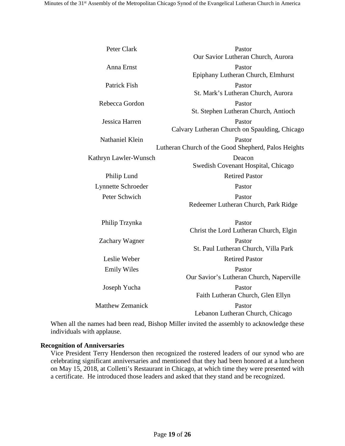| Peter Clark             | Pastor                                              |
|-------------------------|-----------------------------------------------------|
|                         | Our Savior Lutheran Church, Aurora                  |
| Anna Ernst              | Pastor                                              |
|                         | Epiphany Lutheran Church, Elmhurst                  |
| Patrick Fish            | Pastor                                              |
|                         | St. Mark's Lutheran Church, Aurora                  |
| Rebecca Gordon          | Pastor                                              |
|                         | St. Stephen Lutheran Church, Antioch                |
| Jessica Harren          | Pastor                                              |
|                         | Calvary Lutheran Church on Spaulding, Chicago       |
| Nathaniel Klein         | Pastor                                              |
|                         | Lutheran Church of the Good Shepherd, Palos Heights |
| Kathryn Lawler-Wunsch   | Deacon                                              |
|                         | Swedish Covenant Hospital, Chicago                  |
| Philip Lund             | <b>Retired Pastor</b>                               |
| Lynnette Schroeder      | Pastor                                              |
| Peter Schwich           | Pastor                                              |
|                         | Redeemer Lutheran Church, Park Ridge                |
| Philip Trzynka          | Pastor                                              |
|                         | Christ the Lord Lutheran Church, Elgin              |
| Zachary Wagner          | Pastor                                              |
|                         | St. Paul Lutheran Church, Villa Park                |
| Leslie Weber            | <b>Retired Pastor</b>                               |
| <b>Emily Wiles</b>      | Pastor                                              |
|                         | Our Savior's Lutheran Church, Naperville            |
| Joseph Yucha            | Pastor                                              |
|                         | Faith Lutheran Church, Glen Ellyn                   |
| <b>Matthew Zemanick</b> | Pastor                                              |
|                         | Lebanon Lutheran Church, Chicago                    |

When all the names had been read, Bishop Miller invited the assembly to acknowledge these individuals with applause.

#### **Recognition of Anniversaries**

Vice President Terry Henderson then recognized the rostered leaders of our synod who are celebrating significant anniversaries and mentioned that they had been honored at a luncheon on May 15, 2018, at Colletti's Restaurant in Chicago, at which time they were presented with a certificate. He introduced those leaders and asked that they stand and be recognized.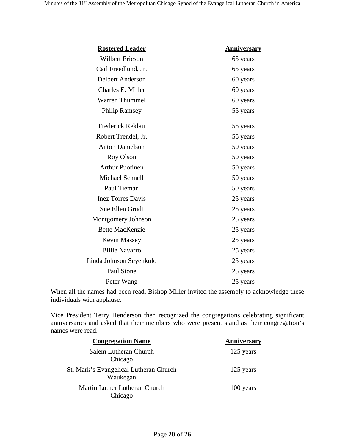| <b>Rostered Leader</b>   | <u>Anniversary</u> |
|--------------------------|--------------------|
| <b>Wilbert Ericson</b>   | 65 years           |
| Carl Freedlund, Jr.      | 65 years           |
| <b>Delbert Anderson</b>  | 60 years           |
| Charles E. Miller        | 60 years           |
| <b>Warren Thummel</b>    | 60 years           |
| <b>Philip Ramsey</b>     | 55 years           |
| Frederick Reklau         | 55 years           |
| Robert Trendel, Jr.      | 55 years           |
| <b>Anton Danielson</b>   | 50 years           |
| Roy Olson                | 50 years           |
| <b>Arthur Puotinen</b>   | 50 years           |
| Michael Schnell          | 50 years           |
| Paul Tieman              | 50 years           |
| <b>Inez Torres Davis</b> | 25 years           |
| Sue Ellen Grudt          | 25 years           |
| Montgomery Johnson       | 25 years           |
| <b>Bette MacKenzie</b>   | 25 years           |
| <b>Kevin Massey</b>      | 25 years           |
| <b>Billie Navarro</b>    | 25 years           |
| Linda Johnson Seyenkulo  | 25 years           |
| Paul Stone               | 25 years           |
| Peter Wang               | 25 years           |

When all the names had been read, Bishop Miller invited the assembly to acknowledge these individuals with applause.

Vice President Terry Henderson then recognized the congregations celebrating significant anniversaries and asked that their members who were present stand as their congregation's names were read.

| <b>Congregation Name</b>                           | Anniversary |
|----------------------------------------------------|-------------|
| Salem Lutheran Church<br>Chicago                   | 125 years   |
| St. Mark's Evangelical Lutheran Church<br>Waukegan | 125 years   |
| Martin Luther Lutheran Church<br>Chicago           | 100 years   |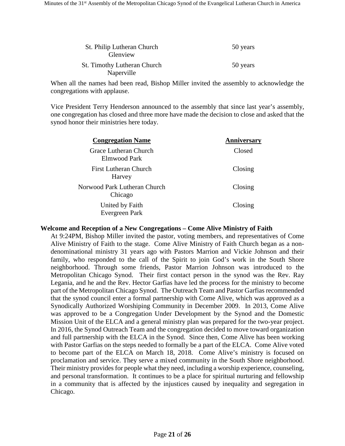| St. Philip Lutheran Church<br>Glenview           | 50 years |
|--------------------------------------------------|----------|
| <b>St. Timothy Lutheran Church</b><br>Naperville | 50 years |

When all the names had been read, Bishop Miller invited the assembly to acknowledge the congregations with applause.

Vice President Terry Henderson announced to the assembly that since last year's assembly, one congregation has closed and three more have made the decision to close and asked that the synod honor their ministries here today.

| <b>Congregation Name</b>                 | Anniversary |
|------------------------------------------|-------------|
| Grace Lutheran Church<br>Elmwood Park    | Closed      |
| <b>First Lutheran Church</b><br>Harvey   | Closing     |
| Norwood Park Lutheran Church<br>Chicago  | Closing     |
| United by Faith<br><b>Evergreen Park</b> | Closing     |

#### **Welcome and Reception of a New Congregations – Come Alive Ministry of Faith**

At 9:24PM, Bishop Miller invited the pastor, voting members, and representatives of Come Alive Ministry of Faith to the stage. Come Alive Ministry of Faith Church began as a nondenominational ministry 31 years ago with Pastors Marrion and Vickie Johnson and their family, who responded to the call of the Spirit to join God's work in the South Shore neighborhood. Through some friends, Pastor Marrion Johnson was introduced to the Metropolitan Chicago Synod. Their first contact person in the synod was the Rev. Ray Legania, and he and the Rev. Hector Garfias have led the process for the ministry to become part of the Metropolitan Chicago Synod. The Outreach Team and Pastor Garfias recommended that the synod council enter a formal partnership with Come Alive, which was approved as a Synodically Authorized Worshiping Community in December 2009. In 2013, Come Alive was approved to be a Congregation Under Development by the Synod and the Domestic Mission Unit of the ELCA and a general ministry plan was prepared for the two-year project. In 2016, the Synod Outreach Team and the congregation decided to move toward organization and full partnership with the ELCA in the Synod. Since then, Come Alive has been working with Pastor Garfias on the steps needed to formally be a part of the ELCA. Come Alive voted to become part of the ELCA on March 18, 2018. Come Alive's ministry is focused on proclamation and service. They serve a mixed community in the South Shore neighborhood. Their ministry provides for people what they need, including a worship experience, counseling, and personal transformation. It continues to be a place for spiritual nurturing and fellowship in a community that is affected by the injustices caused by inequality and segregation in Chicago.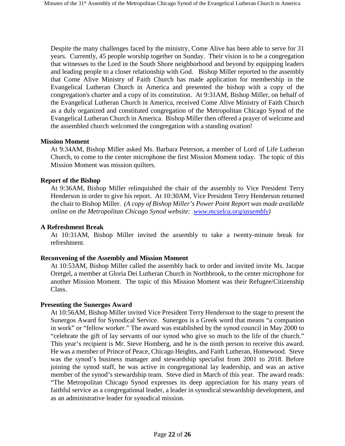Despite the many challenges faced by the ministry, Come Alive has been able to serve for 31 years. Currently, 45 people worship together on Sunday. Their vision is to be a congregation that witnesses to the Lord in the South Shore neighborhood and beyond by equipping leaders and leading people to a closer relationship with God. Bishop Miller reported to the assembly that Come Alive Ministry of Faith Church has made application for membership in the Evangelical Lutheran Church in America and presented the bishop with a copy of the congregation's charter and a copy of its constitution. At 9:31AM, Bishop Miller, on behalf of the Evangelical Lutheran Church in America, received Come Alive Ministry of Faith Church as a duly organized and constituted congregation of the Metropolitan Chicago Synod of the Evangelical Lutheran Church in America. Bishop Miller then offered a prayer of welcome and the assembled church welcomed the congregation with a standing ovation!

#### **Mission Moment**

At 9:34AM, Bishop Miller asked Ms. Barbara Peterson, a member of Lord of Life Lutheran Church, to come to the center microphone the first Mission Moment today. The topic of this Mission Moment was mission quilters.

#### **Report of the Bishop**

At 9:36AM, Bishop Miller relinquished the chair of the assembly to Vice President Terry Henderson in order to give his report. At 10:30AM, Vice President Terry Henderson returned the chair to Bishop Miller. *(A copy of Bishop Miller's Power Point Report was made available online on the Metropolitan Chicago Synod website: [www.mcselca.org/assembly\)](http://www.mcselca.org/assembly)*

#### **A Refreshment Break**

At 10:31AM, Bishop Miller invited the assembly to take a twenty-minute break for refreshment.

#### **Reconvening of the Assembly and Mission Moment**

At 10:53AM, Bishop Miller called the assembly back to order and invited invite Ms. Jacque Oretgel, a member at Gloria Dei Lutheran Church in Northbrook, to the center microphone for another Mission Moment. The topic of this Mission Moment was their Refugee/Citizenship Class.

#### **Presenting the Sunergos Award**

At 10:56AM, Bishop Miller invited Vice President Terry Henderson to the stage to present the Sunergos Award for Synodical Service. Sunergos is a Greek word that means "a companion in work" or "fellow worker." The award was established by the synod council in May 2000 to "celebrate the gift of lay servants of our synod who give so much to the life of the church." This year's recipient is Mr. Steve Homberg, and he is the ninth person to receive this award. He was a member of Prince of Peace, Chicago Heights, and Faith Lutheran, Homewood. Steve was the synod's business manager and stewardship specialist from 2001 to 2018. Before joining the synod staff, he was active in congregational lay leadership, and was an active member of the synod's stewardship team. Steve died in March of this year. The award reads: "The Metropolitan Chicago Synod expresses its deep appreciation for his many years of faithful service as a congregational leader, a leader in synodical stewardship development, and as an administrative leader for synodical mission.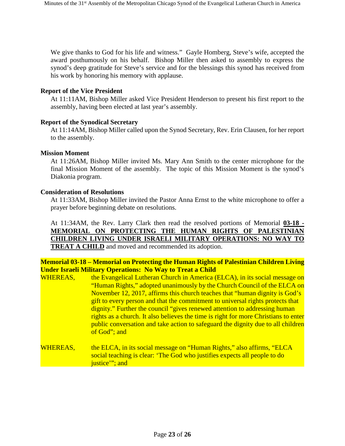We give thanks to God for his life and witness." Gayle Homberg, Steve's wife, accepted the award posthumously on his behalf. Bishop Miller then asked to assembly to express the synod's deep gratitude for Steve's service and for the blessings this synod has received from his work by honoring his memory with applause.

#### **Report of the Vice President**

At 11:11AM, Bishop Miller asked Vice President Henderson to present his first report to the assembly, having been elected at last year's assembly.

#### **Report of the Synodical Secretary**

At 11:14AM, Bishop Miller called upon the Synod Secretary, Rev. Erin Clausen, for her report to the assembly.

#### **Mission Moment**

At 11:26AM, Bishop Miller invited Ms. Mary Ann Smith to the center microphone for the final Mission Moment of the assembly. The topic of this Mission Moment is the synod's Diakonia program.

#### **Consideration of Resolutions**

At 11:33AM, Bishop Miller invited the Pastor Anna Ernst to the white microphone to offer a prayer before beginning debate on resolutions.

At 11:34AM, the Rev. Larry Clark then read the resolved portions of Memorial **03-18 - MEMORIAL ON PROTECTING THE HUMAN RIGHTS OF PALESTINIAN CHILDREN LIVING UNDER ISRAELI MILITARY OPERATIONS: NO WAY TO TREAT A CHILD** and moved and recommended its adoption.

#### **Memorial 03-18 – Memorial on Protecting the Human Rights of Palestinian Children Living Under Israeli Military Operations: No Way to Treat a Child**

- WHEREAS, the Evangelical Lutheran Church in America (ELCA), in its social message on "Human Rights," adopted unanimously by the Church Council of the ELCA on November 12, 2017, affirms this church teaches that "human dignity is God's gift to every person and that the commitment to universal rights protects that dignity." Further the council "gives renewed attention to addressing human rights as a church. It also believes the time is right for more Christians to enter public conversation and take action to safeguard the dignity due to all children of God"; and
- WHEREAS, the ELCA, in its social message on "Human Rights," also affirms, "ELCA social teaching is clear: 'The God who justifies expects all people to do justice"; and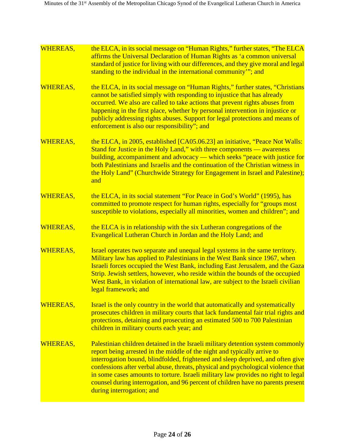| <b>WHEREAS,</b> | the ELCA, in its social message on "Human Rights," further states, "The ELCA<br>affirms the Universal Declaration of Human Rights as 'a common universal<br>standard of justice for living with our differences, and they give moral and legal<br>standing to the individual in the international community"; and                                                                                                                                                                                                                         |
|-----------------|-------------------------------------------------------------------------------------------------------------------------------------------------------------------------------------------------------------------------------------------------------------------------------------------------------------------------------------------------------------------------------------------------------------------------------------------------------------------------------------------------------------------------------------------|
| WHEREAS,        | the ELCA, in its social message on "Human Rights," further states, "Christians"<br>cannot be satisfied simply with responding to injustice that has already<br>occurred. We also are called to take actions that prevent rights abuses from<br>happening in the first place, whether by personal intervention in injustice or<br>publicly addressing rights abuses. Support for legal protections and means of<br>enforcement is also our responsibility"; and                                                                            |
| WHEREAS,        | the ELCA, in 2005, established [CA05.06.23] an initiative, "Peace Not Walls:<br>Stand for Justice in the Holy Land," with three components — awareness<br>building, accompaniment and advocacy — which seeks "peace with justice for<br>both Palestinians and Israelis and the continuation of the Christian witness in<br>the Holy Land" (Churchwide Strategy for Engagement in Israel and Palestine);<br>and                                                                                                                            |
| <b>WHEREAS,</b> | the ELCA, in its social statement "For Peace in God's World" (1995), has<br>committed to promote respect for human rights, especially for "groups most"<br>susceptible to violations, especially all minorities, women and children"; and                                                                                                                                                                                                                                                                                                 |
| WHEREAS,        | the ELCA is in relationship with the six Lutheran congregations of the<br>Evangelical Lutheran Church in Jordan and the Holy Land; and                                                                                                                                                                                                                                                                                                                                                                                                    |
| WHEREAS,        | Israel operates two separate and unequal legal systems in the same territory.<br>Military law has applied to Palestinians in the West Bank since 1967, when<br>Israeli forces occupied the West Bank, including East Jerusalem, and the Gaza<br>Strip. Jewish settlers, however, who reside within the bounds of the occupied<br>West Bank, in violation of international law, are subject to the Israeli civilian<br>legal framework; and                                                                                                |
| WHEREAS,        | Israel is the only country in the world that automatically and systematically<br>prosecutes children in military courts that lack fundamental fair trial rights and<br>protections, detaining and prosecuting an estimated 500 to 700 Palestinian<br>children in military courts each year; and                                                                                                                                                                                                                                           |
| WHEREAS,        | Palestinian children detained in the Israeli military detention system commonly<br>report being arrested in the middle of the night and typically arrive to<br>interrogation bound, blindfolded, frightened and sleep deprived, and often give<br>confessions after verbal abuse, threats, physical and psychological violence that<br>in some cases amounts to torture. Israeli military law provides no right to legal<br>counsel during interrogation, and 96 percent of children have no parents present<br>during interrogation; and |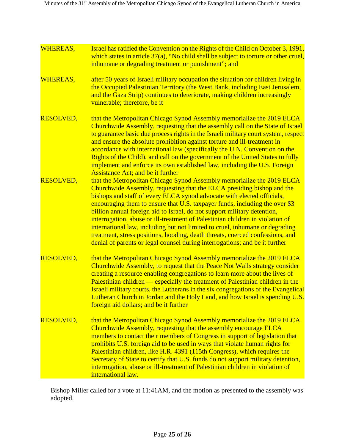| WHEREAS,         | Israel has ratified the Convention on the Rights of the Child on October 3, 1991,<br>which states in article $37(a)$ , "No child shall be subject to torture or other cruel,<br>inhumane or degrading treatment or punishment"; and                                                                                                                                                                                                                                                                                                                                                                                                                                                                                    |
|------------------|------------------------------------------------------------------------------------------------------------------------------------------------------------------------------------------------------------------------------------------------------------------------------------------------------------------------------------------------------------------------------------------------------------------------------------------------------------------------------------------------------------------------------------------------------------------------------------------------------------------------------------------------------------------------------------------------------------------------|
| <b>WHEREAS,</b>  | after 50 years of Israeli military occupation the situation for children living in<br>the Occupied Palestinian Territory (the West Bank, including East Jerusalem,<br>and the Gaza Strip) continues to deteriorate, making children increasingly<br>vulnerable; therefore, be it                                                                                                                                                                                                                                                                                                                                                                                                                                       |
| <b>RESOLVED,</b> | that the Metropolitan Chicago Synod Assembly memorialize the 2019 ELCA<br>Churchwide Assembly, requesting that the assembly call on the State of Israel<br>to guarantee basic due process rights in the Israeli military court system, respect<br>and ensure the absolute prohibition against torture and ill-treatment in<br>accordance with international law (specifically the U.N. Convention on the<br>Rights of the Child), and call on the government of the United States to fully<br>implement and enforce its own established law, including the U.S. Foreign<br><b>Assistance Act; and be it further</b>                                                                                                    |
| <b>RESOLVED,</b> | that the Metropolitan Chicago Synod Assembly memorialize the 2019 ELCA<br>Churchwide Assembly, requesting that the ELCA presiding bishop and the<br>bishops and staff of every ELCA synod advocate with elected officials,<br>encouraging them to ensure that U.S. taxpayer funds, including the over \$3<br>billion annual foreign aid to Israel, do not support military detention,<br>interrogation, abuse or ill-treatment of Palestinian children in violation of<br>international law, including but not limited to cruel, inhumane or degrading<br>treatment, stress positions, hooding, death threats, coerced confessions, and<br>denial of parents or legal counsel during interrogations; and be it further |
| <b>RESOLVED,</b> | that the Metropolitan Chicago Synod Assembly memorialize the 2019 ELCA<br>Churchwide Assembly, to request that the Peace Not Walls strategy consider<br>creating a resource enabling congregations to learn more about the lives of<br>Palestinian children — especially the treatment of Palestinian children in the<br>Israeli military courts, the Lutherans in the six congregations of the Evangelical<br>Lutheran Church in Jordan and the Holy Land, and how Israel is spending U.S.<br>foreign aid dollars; and be it further                                                                                                                                                                                  |
| <b>RESOLVED,</b> | that the Metropolitan Chicago Synod Assembly memorialize the 2019 ELCA<br>Churchwide Assembly, requesting that the assembly encourage ELCA<br>members to contact their members of Congress in support of legislation that<br>prohibits U.S. foreign aid to be used in ways that violate human rights for<br>Palestinian children, like H.R. 4391 (115th Congress), which requires the<br>Secretary of State to certify that U.S. funds do not support military detention,<br>interrogation, abuse or ill-treatment of Palestinian children in violation of<br>international law.                                                                                                                                       |

Bishop Miller called for a vote at 11:41AM, and the motion as presented to the assembly was adopted.